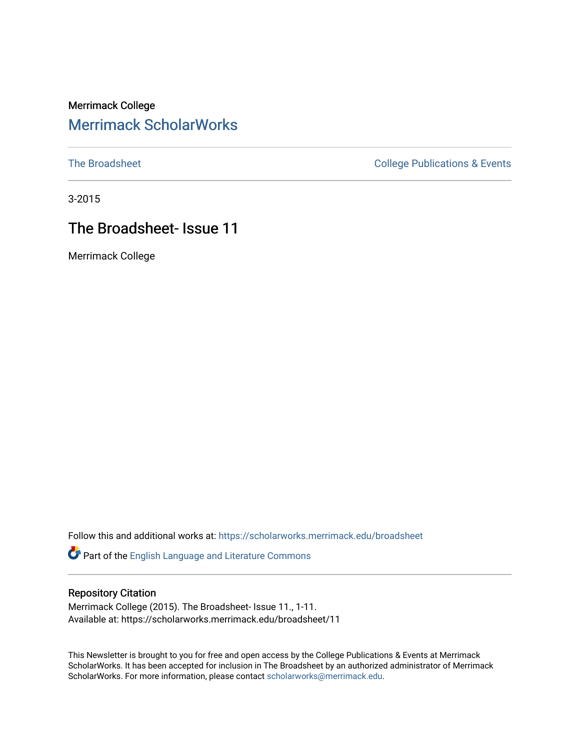### Merrimack College [Merrimack ScholarWorks](https://scholarworks.merrimack.edu/)

[The Broadsheet](https://scholarworks.merrimack.edu/broadsheet) **College Publications & Events** 

3-2015

### The Broadsheet- Issue 11

Merrimack College

Follow this and additional works at: [https://scholarworks.merrimack.edu/broadsheet](https://scholarworks.merrimack.edu/broadsheet?utm_source=scholarworks.merrimack.edu%2Fbroadsheet%2F11&utm_medium=PDF&utm_campaign=PDFCoverPages) 

Part of the [English Language and Literature Commons](http://network.bepress.com/hgg/discipline/455?utm_source=scholarworks.merrimack.edu%2Fbroadsheet%2F11&utm_medium=PDF&utm_campaign=PDFCoverPages)

#### Repository Citation

Merrimack College (2015). The Broadsheet- Issue 11., 1-11. Available at: https://scholarworks.merrimack.edu/broadsheet/11

This Newsletter is brought to you for free and open access by the College Publications & Events at Merrimack ScholarWorks. It has been accepted for inclusion in The Broadsheet by an authorized administrator of Merrimack ScholarWorks. For more information, please contact [scholarworks@merrimack.edu.](mailto:scholarworks@merrimack.edu)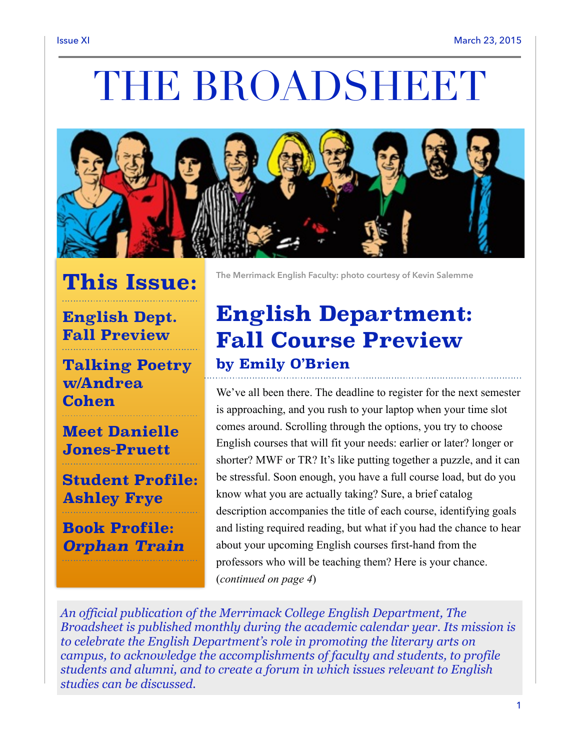# THE BROADSHEET



# **This Issue:**

### **English Dept. Fall Preview**

**Talking Poetry w/Andrea Cohen** 

### **Meet Danielle Jones-Pruett**

**Student Profile: Ashley Frye** 

**Book Profile:**  *Orphan Train* **The Merrimack English Faculty: photo courtesy of Kevin Salemme** 

# **English Department: Fall Course Preview by Emily O'Brien**

We've all been there. The deadline to register for the next semester is approaching, and you rush to your laptop when your time slot comes around. Scrolling through the options, you try to choose English courses that will fit your needs: earlier or later? longer or shorter? MWF or TR? It's like putting together a puzzle, and it can be stressful. Soon enough, you have a full course load, but do you know what you are actually taking? Sure, a brief catalog description accompanies the title of each course, identifying goals and listing required reading, but what if you had the chance to hear about your upcoming English courses first-hand from the professors who will be teaching them? Here is your chance. (*continued on page 4*)

*An official publication of the Merrimack College English Department, The Broadsheet is published monthly during the academic calendar year. Its mission is to celebrate the English Department's role in promoting the literary arts on campus, to acknowledge the accomplishments of faculty and students, to profile students and alumni, and to create a forum in which issues relevant to English studies can be discussed.*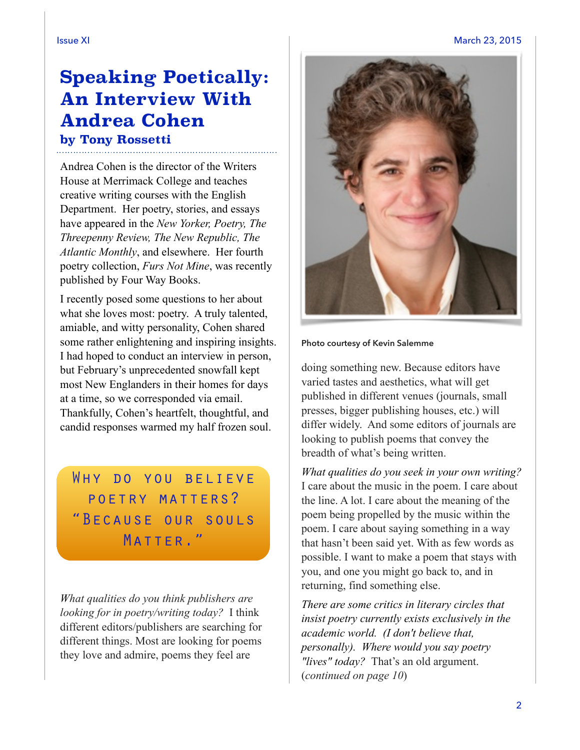Issue XI March 23, 2015

### **Speaking Poetically: An Interview With Andrea Cohen by Tony Rossetti**

Andrea Cohen is the director of the Writers House at Merrimack College and teaches creative writing courses with the English Department. Her poetry, stories, and essays have appeared in the *New Yorker, Poetry, The Threepenny Review, The New Republic, The Atlantic Monthly*, and elsewhere. Her fourth poetry collection, *Furs Not Mine*, was recently published by Four Way Books.

I recently posed some questions to her about what she loves most: poetry. A truly talented, amiable, and witty personality, Cohen shared some rather enlightening and inspiring insights. I had hoped to conduct an interview in person, but February's unprecedented snowfall kept most New Englanders in their homes for days at a time, so we corresponded via email. Thankfully, Cohen's heartfelt, thoughtful, and candid responses warmed my half frozen soul.

WHY DO YOU BELIEVE poetry matters? "Because our souls MATTER."

*What qualities do you think publishers are looking for in poetry/writing today?* I think different editors/publishers are searching for different things. Most are looking for poems they love and admire, poems they feel are



#### **Photo courtesy of Kevin Salemme**

doing something new. Because editors have varied tastes and aesthetics, what will get published in different venues (journals, small presses, bigger publishing houses, etc.) will differ widely. And some editors of journals are looking to publish poems that convey the breadth of what's being written.

*What qualities do you seek in your own writing?*  I care about the music in the poem. I care about the line. A lot. I care about the meaning of the poem being propelled by the music within the poem. I care about saying something in a way that hasn't been said yet. With as few words as possible. I want to make a poem that stays with you, and one you might go back to, and in returning, find something else.

*There are some critics in literary circles that insist poetry currently exists exclusively in the academic world. (I don't believe that, personally). Where would you say poetry "lives" today?* That's an old argument. (*continued on page 10*)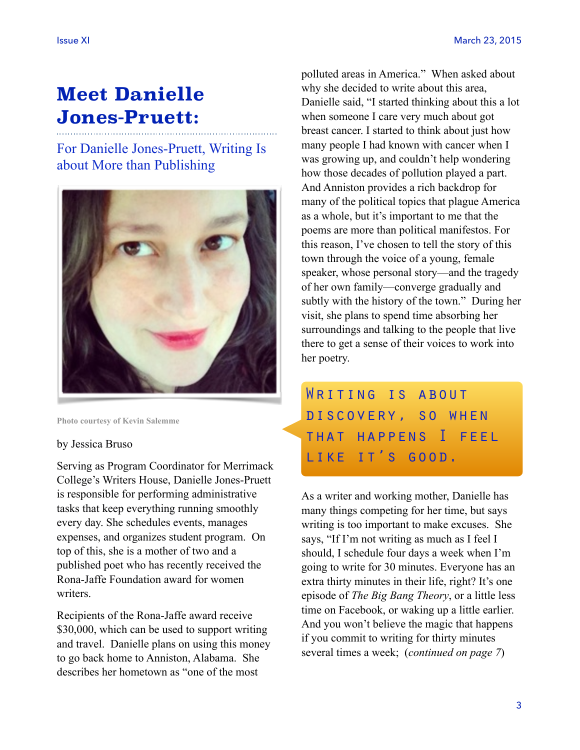# **Meet Danielle Jones-Pruett:**

For Danielle Jones-Pruett, Writing Is about More than Publishing



**Photo courtesy of Kevin Salemme** 

#### by Jessica Bruso

Serving as Program Coordinator for Merrimack College's Writers House, Danielle Jones-Pruett is responsible for performing administrative tasks that keep everything running smoothly every day. She schedules events, manages expenses, and organizes student program. On top of this, she is a mother of two and a published poet who has recently received the Rona-Jaffe Foundation award for women writers.

Recipients of the Rona-Jaffe award receive \$30,000, which can be used to support writing and travel. Danielle plans on using this money to go back home to Anniston, Alabama. She describes her hometown as "one of the most

polluted areas in America." When asked about why she decided to write about this area, Danielle said, "I started thinking about this a lot when someone I care very much about got breast cancer. I started to think about just how many people I had known with cancer when I was growing up, and couldn't help wondering how those decades of pollution played a part. And Anniston provides a rich backdrop for many of the political topics that plague America as a whole, but it's important to me that the poems are more than political manifestos. For this reason, I've chosen to tell the story of this town through the voice of a young, female speaker, whose personal story—and the tragedy of her own family—converge gradually and subtly with the history of the town." During her visit, she plans to spend time absorbing her surroundings and talking to the people that live there to get a sense of their voices to work into her poetry.

WRITING IS ABOUT discovery, so when that happens I feel LIKE IT'S GOOD.

As a writer and working mother, Danielle has many things competing for her time, but says writing is too important to make excuses. She says, "If I'm not writing as much as I feel I should, I schedule four days a week when I'm going to write for 30 minutes. Everyone has an extra thirty minutes in their life, right? It's one episode of *The Big Bang Theory*, or a little less time on Facebook, or waking up a little earlier. And you won't believe the magic that happens if you commit to writing for thirty minutes several times a week; (*continued on page 7*)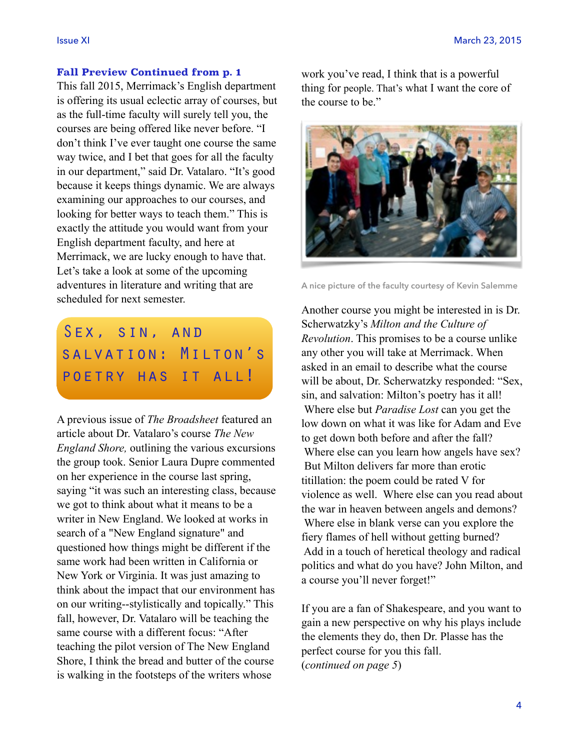### **Fall Preview Continued from p. 1**

This fall 2015, Merrimack's English department is offering its usual eclectic array of courses, but as the full-time faculty will surely tell you, the courses are being offered like never before. "I don't think I've ever taught one course the same way twice, and I bet that goes for all the faculty in our department," said Dr. Vatalaro. "It's good because it keeps things dynamic. We are always examining our approaches to our courses, and looking for better ways to teach them." This is exactly the attitude you would want from your English department faculty, and here at Merrimack, we are lucky enough to have that. Let's take a look at some of the upcoming adventures in literature and writing that are scheduled for next semester.

# SEX, SIN, AND salvation: Milton's poetry has it all!

A previous issue of *The Broadsheet* featured an article about Dr. Vatalaro's course *The New England Shore,* outlining the various excursions the group took. Senior Laura Dupre commented on her experience in the course last spring, saying "it was such an interesting class, because we got to think about what it means to be a writer in New England. We looked at works in search of a "New England signature" and questioned how things might be different if the same work had been written in California or New York or Virginia. It was just amazing to think about the impact that our environment has on our writing--stylistically and topically." This fall, however, Dr. Vatalaro will be teaching the same course with a different focus: "After teaching the pilot version of The New England Shore, I think the bread and butter of the course is walking in the footsteps of the writers whose

work you've read, I think that is a powerful thing for people. That's what I want the core of the course to be."



**A nice picture of the faculty courtesy of Kevin Salemme**

Another course you might be interested in is Dr. Scherwatzky's *Milton and the Culture of Revolution*. This promises to be a course unlike any other you will take at Merrimack. When asked in an email to describe what the course will be about, Dr. Scherwatzky responded: "Sex, sin, and salvation: Milton's poetry has it all! Where else but *Paradise Lost* can you get the low down on what it was like for Adam and Eve to get down both before and after the fall? Where else can you learn how angels have sex? But Milton delivers far more than erotic titillation: the poem could be rated V for violence as well. Where else can you read about the war in heaven between angels and demons? Where else in blank verse can you explore the fiery flames of hell without getting burned? Add in a touch of heretical theology and radical politics and what do you have? John Milton, and a course you'll never forget!"

If you are a fan of Shakespeare, and you want to gain a new perspective on why his plays include the elements they do, then Dr. Plasse has the perfect course for you this fall. (*continued on page 5*)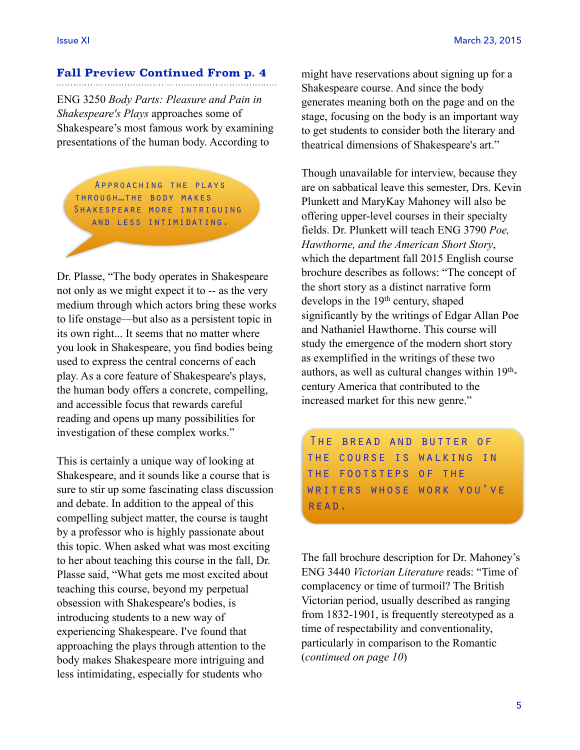## **Fall Preview Continued From p. 4**

ENG 3250 *Body Parts: Pleasure and Pain in Shakespeare's Plays* approaches some of Shakespeare's most famous work by examining presentations of the human body. According to

Approaching the plays through…the body makes Shakespeare more intriguing and less intimidating.

Dr. Plasse, "The body operates in Shakespeare not only as we might expect it to -- as the very medium through which actors bring these works to life onstage—but also as a persistent topic in its own right... It seems that no matter where you look in Shakespeare, you find bodies being used to express the central concerns of each play. As a core feature of Shakespeare's plays, the human body offers a concrete, compelling, and accessible focus that rewards careful reading and opens up many possibilities for investigation of these complex works."

This is certainly a unique way of looking at Shakespeare, and it sounds like a course that is sure to stir up some fascinating class discussion and debate. In addition to the appeal of this compelling subject matter, the course is taught by a professor who is highly passionate about this topic. When asked what was most exciting to her about teaching this course in the fall, Dr. Plasse said, "What gets me most excited about teaching this course, beyond my perpetual obsession with Shakespeare's bodies, is introducing students to a new way of experiencing Shakespeare. I've found that approaching the plays through attention to the body makes Shakespeare more intriguing and less intimidating, especially for students who

might have reservations about signing up for a Shakespeare course. And since the body generates meaning both on the page and on the stage, focusing on the body is an important way to get students to consider both the literary and theatrical dimensions of Shakespeare's art."

Though unavailable for interview, because they are on sabbatical leave this semester, Drs. Kevin Plunkett and MaryKay Mahoney will also be offering upper-level courses in their specialty fields. Dr. Plunkett will teach ENG 3790 *Poe, Hawthorne, and the American Short Story*, which the department fall 2015 English course brochure describes as follows: "The concept of the short story as a distinct narrative form develops in the 19<sup>th</sup> century, shaped significantly by the writings of Edgar Allan Poe and Nathaniel Hawthorne. This course will study the emergence of the modern short story as exemplified in the writings of these two authors, as well as cultural changes within 19thcentury America that contributed to the increased market for this new genre."

The bread and butter of the course is walking in the footsteps of the writers whose work you've READ.

The fall brochure description for Dr. Mahoney's ENG 3440 *Victorian Literature* reads: "Time of complacency or time of turmoil? The British Victorian period, usually described as ranging from 1832-1901, is frequently stereotyped as a time of respectability and conventionality, particularly in comparison to the Romantic (*continued on page 10*)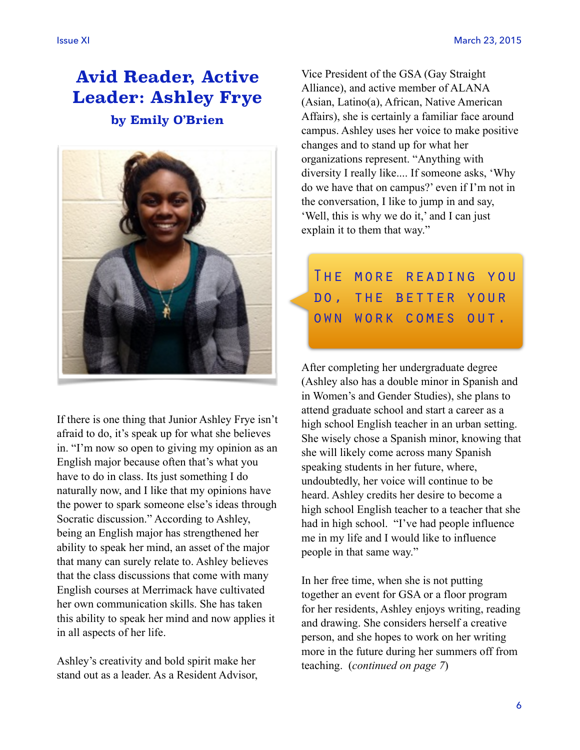## **Avid Reader, Active Leader: Ashley Frye by Emily O'Brien**



If there is one thing that Junior Ashley Frye isn't afraid to do, it's speak up for what she believes in. "I'm now so open to giving my opinion as an English major because often that's what you have to do in class. Its just something I do naturally now, and I like that my opinions have the power to spark someone else's ideas through Socratic discussion." According to Ashley, being an English major has strengthened her ability to speak her mind, an asset of the major that many can surely relate to. Ashley believes that the class discussions that come with many English courses at Merrimack have cultivated her own communication skills. She has taken this ability to speak her mind and now applies it in all aspects of her life.

Ashley's creativity and bold spirit make her stand out as a leader. As a Resident Advisor, Vice President of the GSA (Gay Straight Alliance), and active member of ALANA (Asian, Latino(a), African, Native American Affairs), she is certainly a familiar face around campus. Ashley uses her voice to make positive changes and to stand up for what her organizations represent. "Anything with diversity I really like.... If someone asks, 'Why do we have that on campus?' even if I'm not in the conversation, I like to jump in and say, 'Well, this is why we do it,' and I can just explain it to them that way."

# The more reading you do, the better your own work comes out.

After completing her undergraduate degree (Ashley also has a double minor in Spanish and in Women's and Gender Studies), she plans to attend graduate school and start a career as a high school English teacher in an urban setting. She wisely chose a Spanish minor, knowing that she will likely come across many Spanish speaking students in her future, where, undoubtedly, her voice will continue to be heard. Ashley credits her desire to become a high school English teacher to a teacher that she had in high school. "I've had people influence me in my life and I would like to influence people in that same way."

In her free time, when she is not putting together an event for GSA or a floor program for her residents, Ashley enjoys writing, reading and drawing. She considers herself a creative person, and she hopes to work on her writing more in the future during her summers off from teaching. (*continued on page 7*)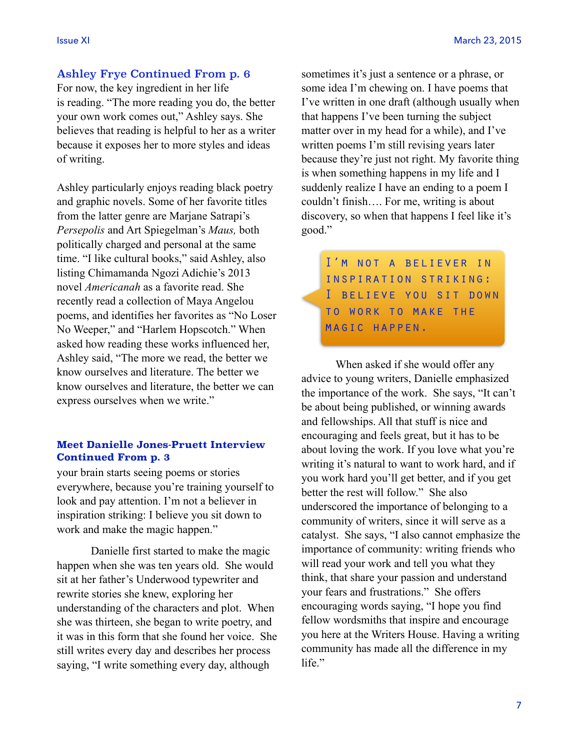### Ashley Frye Continued From p. 6

For now, the key ingredient in her life is reading. "The more reading you do, the better your own work comes out," Ashley says. She believes that reading is helpful to her as a writer because it exposes her to more styles and ideas of writing.

Ashley particularly enjoys reading black poetry and graphic novels. Some of her favorite titles from the latter genre are Marjane Satrapi's *Persepolis* and Art Spiegelman's *Maus,* both politically charged and personal at the same time. "I like cultural books," said Ashley, also listing Chimamanda Ngozi Adichie's 2013 novel *Americanah* as a favorite read. She recently read a collection of Maya Angelou poems, and identifies her favorites as "No Loser No Weeper," and "Harlem Hopscotch." When asked how reading these works influenced her, Ashley said, "The more we read, the better we know ourselves and literature. The better we know ourselves and literature, the better we can express ourselves when we write."

#### **Meet Danielle Jones-Pruett Interview Continued From p. 3**

your brain starts seeing poems or stories everywhere, because you're training yourself to look and pay attention. I'm not a believer in inspiration striking: I believe you sit down to work and make the magic happen."

 Danielle first started to make the magic happen when she was ten years old. She would sit at her father's Underwood typewriter and rewrite stories she knew, exploring her understanding of the characters and plot. When she was thirteen, she began to write poetry, and it was in this form that she found her voice. She still writes every day and describes her process saying, "I write something every day, although

sometimes it's just a sentence or a phrase, or some idea I'm chewing on. I have poems that I've written in one draft (although usually when that happens I've been turning the subject matter over in my head for a while), and I've written poems I'm still revising years later because they're just not right. My favorite thing is when something happens in my life and I suddenly realize I have an ending to a poem I couldn't finish…. For me, writing is about discovery, so when that happens I feel like it's good."

I'm not a believer in inspiration striking: I believe you sit down to work to make the magic happen.

 When asked if she would offer any advice to young writers, Danielle emphasized the importance of the work. She says, "It can't be about being published, or winning awards and fellowships. All that stuff is nice and encouraging and feels great, but it has to be about loving the work. If you love what you're writing it's natural to want to work hard, and if you work hard you'll get better, and if you get better the rest will follow." She also underscored the importance of belonging to a community of writers, since it will serve as a catalyst. She says, "I also cannot emphasize the importance of community: writing friends who will read your work and tell you what they think, that share your passion and understand your fears and frustrations." She offers encouraging words saying, "I hope you find fellow wordsmiths that inspire and encourage you here at the Writers House. Having a writing community has made all the difference in my life."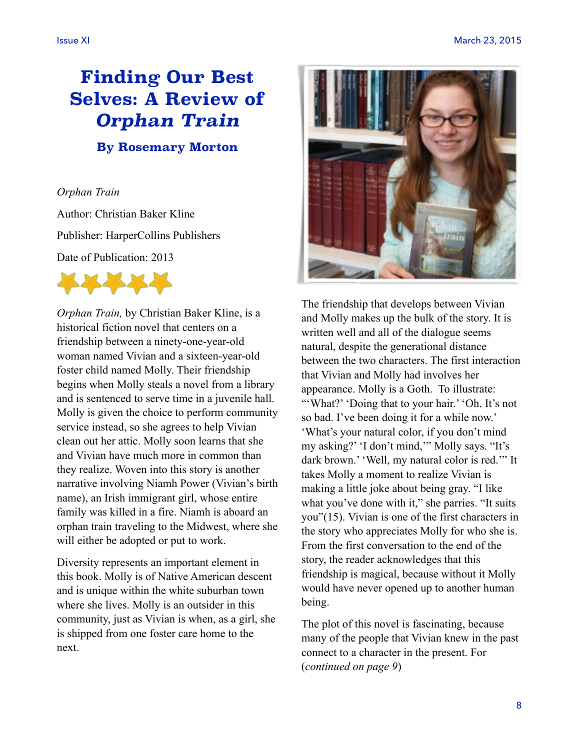# **Finding Our Best Selves: A Review of**  *Orphan Train* **By Rosemary Morton**

### *Orphan Train*

Author: Christian Baker Kline Publisher: HarperCollins Publishers Date of Publication: 2013



*Orphan Train,* by Christian Baker Kline, is a historical fiction novel that centers on a friendship between a ninety-one-year-old woman named Vivian and a sixteen-year-old foster child named Molly. Their friendship begins when Molly steals a novel from a library and is sentenced to serve time in a juvenile hall. Molly is given the choice to perform community service instead, so she agrees to help Vivian clean out her attic. Molly soon learns that she and Vivian have much more in common than they realize. Woven into this story is another narrative involving Niamh Power (Vivian's birth name), an Irish immigrant girl, whose entire family was killed in a fire. Niamh is aboard an orphan train traveling to the Midwest, where she will either be adopted or put to work.

Diversity represents an important element in this book. Molly is of Native American descent and is unique within the white suburban town where she lives. Molly is an outsider in this community, just as Vivian is when, as a girl, she is shipped from one foster care home to the next.



The friendship that develops between Vivian and Molly makes up the bulk of the story. It is written well and all of the dialogue seems natural, despite the generational distance between the two characters. The first interaction that Vivian and Molly had involves her appearance. Molly is a Goth. To illustrate: "'What?' 'Doing that to your hair.' 'Oh. It's not so bad. I've been doing it for a while now.' 'What's your natural color, if you don't mind my asking?' 'I don't mind,'" Molly says. "It's dark brown.' 'Well, my natural color is red.'" It takes Molly a moment to realize Vivian is making a little joke about being gray. "I like what you've done with it," she parries. "It suits you"(15). Vivian is one of the first characters in the story who appreciates Molly for who she is. From the first conversation to the end of the story, the reader acknowledges that this friendship is magical, because without it Molly would have never opened up to another human being.

The plot of this novel is fascinating, because many of the people that Vivian knew in the past connect to a character in the present. For (*continued on page 9*)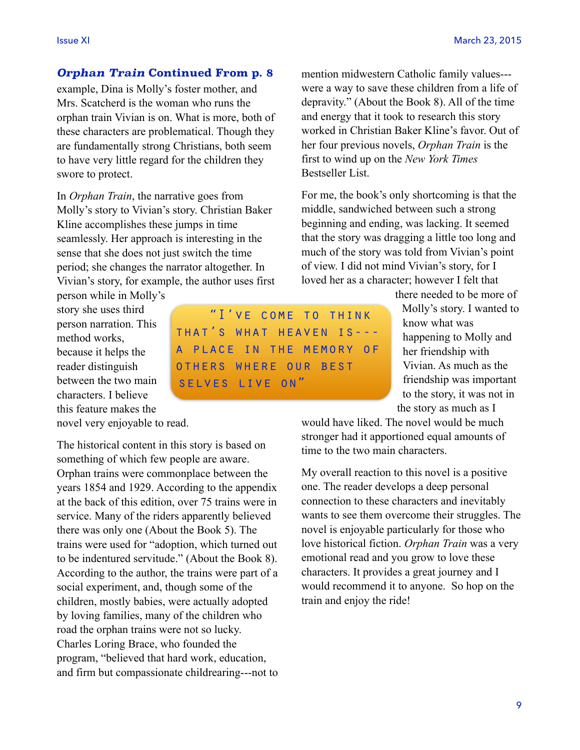### *Orphan Train* **Continued From p. 8**

example, Dina is Molly's foster mother, and Mrs. Scatcherd is the woman who runs the orphan train Vivian is on. What is more, both of these characters are problematical. Though they are fundamentally strong Christians, both seem to have very little regard for the children they swore to protect.

In *Orphan Train*, the narrative goes from Molly's story to Vivian's story. Christian Baker Kline accomplishes these jumps in time seamlessly. Her approach is interesting in the sense that she does not just switch the time period; she changes the narrator altogether. In Vivian's story, for example, the author uses first

person while in Molly's story she uses third person narration. This method works, because it helps the reader distinguish between the two main characters. I believe this feature makes the novel very enjoyable to read.

The historical content in this story is based on something of which few people are aware. Orphan trains were commonplace between the years 1854 and 1929. According to the appendix at the back of this edition, over 75 trains were in service. Many of the riders apparently believed there was only one (About the Book 5). The trains were used for "adoption, which turned out to be indentured servitude." (About the Book 8). According to the author, the trains were part of a social experiment, and, though some of the children, mostly babies, were actually adopted by loving families, many of the children who road the orphan trains were not so lucky. Charles Loring Brace, who founded the program, "believed that hard work, education, and firm but compassionate childrearing---not to mention midwestern Catholic family values-- were a way to save these children from a life of depravity." (About the Book 8). All of the time and energy that it took to research this story worked in Christian Baker Kline's favor. Out of her four previous novels, *Orphan Train* is the first to wind up on the *New York Times* Bestseller List.

For me, the book's only shortcoming is that the middle, sandwiched between such a strong beginning and ending, was lacking. It seemed that the story was dragging a little too long and much of the story was told from Vivian's point of view. I did not mind Vivian's story, for I loved her as a character; however I felt that

there needed to be more of Molly's story. I wanted to know what was happening to Molly and her friendship with Vivian. As much as the friendship was important to the story, it was not in the story as much as I

would have liked. The novel would be much stronger had it apportioned equal amounts of time to the two main characters.

My overall reaction to this novel is a positive one. The reader develops a deep personal connection to these characters and inevitably wants to see them overcome their struggles. The novel is enjoyable particularly for those who love historical fiction. *Orphan Train* was a very emotional read and you grow to love these characters. It provides a great journey and I would recommend it to anyone. So hop on the train and enjoy the ride!

"I've come to think that's what heaven is-- a place in the memory of others where our best selves live on"